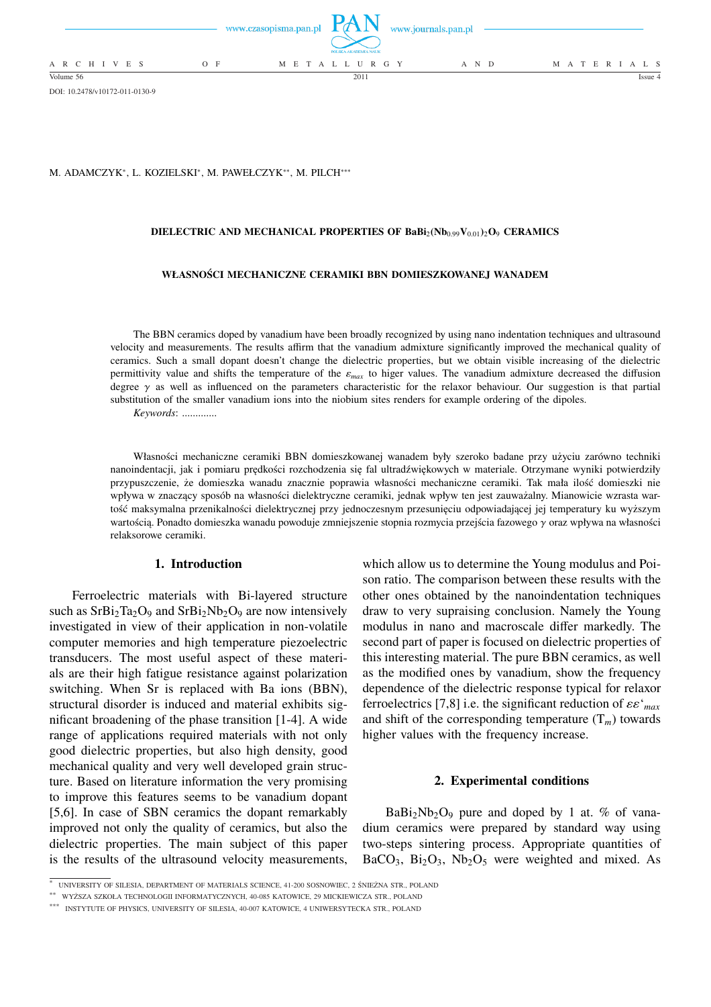

DOI: 10.2478/v10172-011-0130-9

M. ADAMCZYK\*, L. KOZIELSKI\*, M. PAWEŁCZYK\*\*, M. PILCH\*\*\*

## **DIELECTRIC AND MECHANICAL PROPERTIES OF BaBi**2**(Nb**0.99**V**0.01**)**2**O**<sup>9</sup> **CERAMICS**

### **WŁASNOŚCI MECHANICZNE CERAMIKI BBN DOMIESZKOWANEJ WANADEM**

The BBN ceramics doped by vanadium have been broadly recognized by using nano indentation techniques and ultrasound velocity and measurements. The results affirm that the vanadium admixture significantly improved the mechanical quality of ceramics. Such a small dopant doesn't change the dielectric properties, but we obtain visible increasing of the dielectric permittivity value and shifts the temperature of the  $\varepsilon_{max}$  to higer values. The vanadium admixture decreased the diffusion degree  $\gamma$  as well as influenced on the parameters characteristic for the relaxor behaviour. Our suggestion is that partial substitution of the smaller vanadium ions into the niobium sites renders for example ordering of the dipoles.

*Keywords*: .............

Własności mechaniczne ceramiki BBN domieszkowanej wanadem były szeroko badane przy użyciu zarówno techniki nanoindentacji, jak i pomiaru prędkości rozchodzenia się fal ultradźwiękowych w materiale. Otrzymane wyniki potwierdziły przypuszczenie, że domieszka wanadu znacznie poprawia własności mechaniczne ceramiki. Tak mała ilość domieszki nie wpływa w znaczący sposób na własności dielektryczne ceramiki, jednak wpływ ten jest zauważalny. Mianowicie wzrasta wartość maksymalna przenikalności dielektrycznej przy jednoczesnym przesunięciu odpowiadającej jej temperatury ku wyższym wartością. Ponadto domieszka wanadu powoduje zmniejszenie stopnia rozmycia przejścia fazowego γ oraz wpływa na własności relaksorowe ceramiki.

# **1. Introduction**

Ferroelectric materials with Bi-layered structure such as  $SrBi<sub>2</sub>Ta<sub>2</sub>O<sub>9</sub>$  and  $SrBi<sub>2</sub>Nb<sub>2</sub>O<sub>9</sub>$  are now intensively investigated in view of their application in non-volatile computer memories and high temperature piezoelectric transducers. The most useful aspect of these materials are their high fatigue resistance against polarization switching. When Sr is replaced with Ba ions (BBN), structural disorder is induced and material exhibits significant broadening of the phase transition [1-4]. A wide range of applications required materials with not only good dielectric properties, but also high density, good mechanical quality and very well developed grain structure. Based on literature information the very promising to improve this features seems to be vanadium dopant [5,6]. In case of SBN ceramics the dopant remarkably improved not only the quality of ceramics, but also the dielectric properties. The main subject of this paper is the results of the ultrasound velocity measurements,

which allow us to determine the Young modulus and Poison ratio. The comparison between these results with the other ones obtained by the nanoindentation techniques draw to very supraising conclusion. Namely the Young modulus in nano and macroscale differ markedly. The second part of paper is focused on dielectric properties of this interesting material. The pure BBN ceramics, as well as the modified ones by vanadium, show the frequency dependence of the dielectric response typical for relaxor ferroelectrics [7,8] i.e. the significant reduction of εε'*max* and shift of the corresponding temperature  $(T_m)$  towards higher values with the frequency increase.

## **2. Experimental conditions**

 $BaBi<sub>2</sub>Nb<sub>2</sub>O<sub>9</sub>$  pure and doped by 1 at. % of vanadium ceramics were prepared by standard way using two-steps sintering process. Appropriate quantities of  $BaCO<sub>3</sub>$ ,  $Bi<sub>2</sub>O<sub>3</sub>$ ,  $Nb<sub>2</sub>O<sub>5</sub>$  were weighted and mixed. As

<sup>∗</sup> UNIVERSITY OF SILESIA, DEPARTMENT OF MATERIALS SCIENCE, 41-200 SOSNOWIEC, 2 ŚNIEŻNA STR., POLAND

<sup>∗∗</sup> WYŻSZA SZKOŁA TECHNOLOGII INFORMATYCZNYCH, 40-085 KATOWICE, 29 MICKIEWICZA STR., POLAND

<sup>∗∗∗</sup> INSTYTUTE OF PHYSICS, UNIVERSITY OF SILESIA, 40-007 KATOWICE, 4 UNIWERSYTECKA STR., POLAND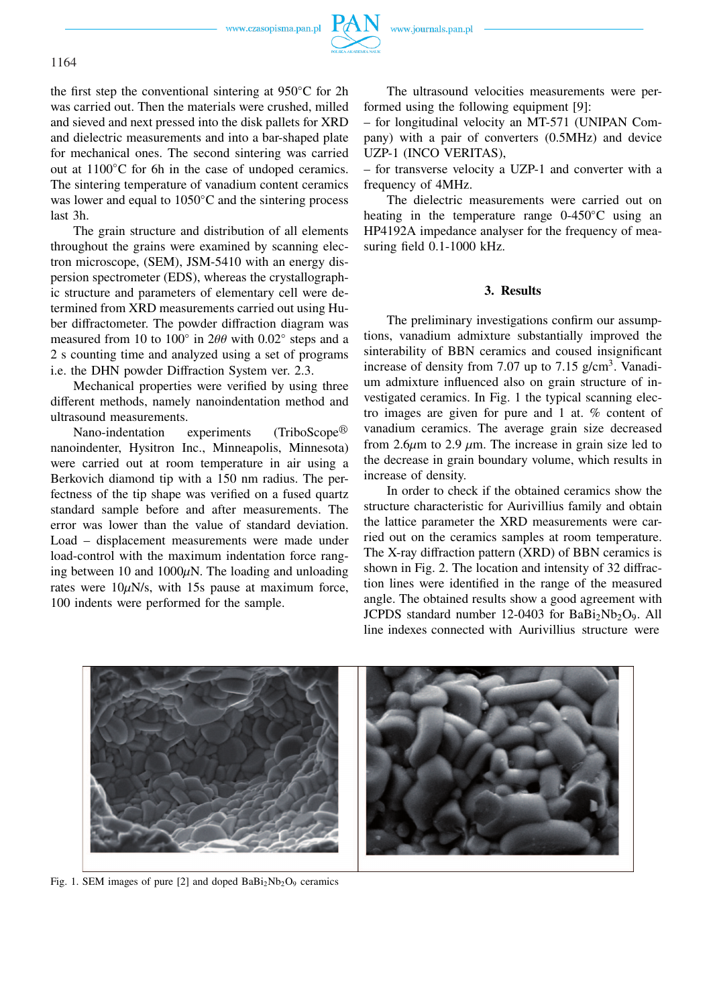www.czasopisma.pan.pl



the first step the conventional sintering at 950◦C for 2h was carried out. Then the materials were crushed, milled and sieved and next pressed into the disk pallets for XRD and dielectric measurements and into a bar-shaped plate for mechanical ones. The second sintering was carried out at 1100◦C for 6h in the case of undoped ceramics. The sintering temperature of vanadium content ceramics was lower and equal to 1050◦C and the sintering process last 3h.

The grain structure and distribution of all elements throughout the grains were examined by scanning electron microscope, (SEM), JSM-5410 with an energy dispersion spectrometer (EDS), whereas the crystallographic structure and parameters of elementary cell were determined from XRD measurements carried out using Huber diffractometer. The powder diffraction diagram was measured from 10 to 100 $^{\circ}$  in 2 $\theta\theta$  with 0.02 $^{\circ}$  steps and a 2 s counting time and analyzed using a set of programs i.e. the DHN powder Diffraction System ver. 2.3.

Mechanical properties were verified by using three different methods, namely nanoindentation method and ultrasound measurements.

Nano-indentation experiments  $(TriboScope<sup>(8)</sup>)$ nanoindenter, Hysitron Inc., Minneapolis, Minnesota) were carried out at room temperature in air using a Berkovich diamond tip with a 150 nm radius. The perfectness of the tip shape was verified on a fused quartz standard sample before and after measurements. The error was lower than the value of standard deviation. Load – displacement measurements were made under load-control with the maximum indentation force ranging between 10 and  $1000\mu$ N. The loading and unloading rates were  $10 \mu$ N/s, with 15s pause at maximum force, 100 indents were performed for the sample.

The ultrasound velocities measurements were performed using the following equipment [9]:

– for longitudinal velocity an MT-571 (UNIPAN Company) with a pair of converters (0.5MHz) and device UZP-1 (INCO VERITAS),

– for transverse velocity a UZP-1 and converter with a frequency of 4MHz.

The dielectric measurements were carried out on heating in the temperature range 0-450◦C using an HP4192A impedance analyser for the frequency of measuring field 0.1-1000 kHz.

# **3. Results**

The preliminary investigations confirm our assumptions, vanadium admixture substantially improved the sinterability of BBN ceramics and coused insignificant increase of density from 7.07 up to 7.15  $g/cm<sup>3</sup>$ . Vanadium admixture influenced also on grain structure of investigated ceramics. In Fig. 1 the typical scanning electro images are given for pure and 1 at. % content of vanadium ceramics. The average grain size decreased from 2.6 $\mu$ m to 2.9  $\mu$ m. The increase in grain size led to the decrease in grain boundary volume, which results in increase of density.

In order to check if the obtained ceramics show the structure characteristic for Aurivillius family and obtain the lattice parameter the XRD measurements were carried out on the ceramics samples at room temperature. The X-ray diffraction pattern (XRD) of BBN ceramics is shown in Fig. 2. The location and intensity of 32 diffraction lines were identified in the range of the measured angle. The obtained results show a good agreement with JCPDS standard number  $12-0403$  for  $BaBi<sub>2</sub>Nb<sub>2</sub>O<sub>9</sub>$ . All line indexes connected with Aurivillius structure were



Fig. 1. SEM images of pure [2] and doped  $BaBi<sub>2</sub>Nb<sub>2</sub>O<sub>9</sub>$  ceramics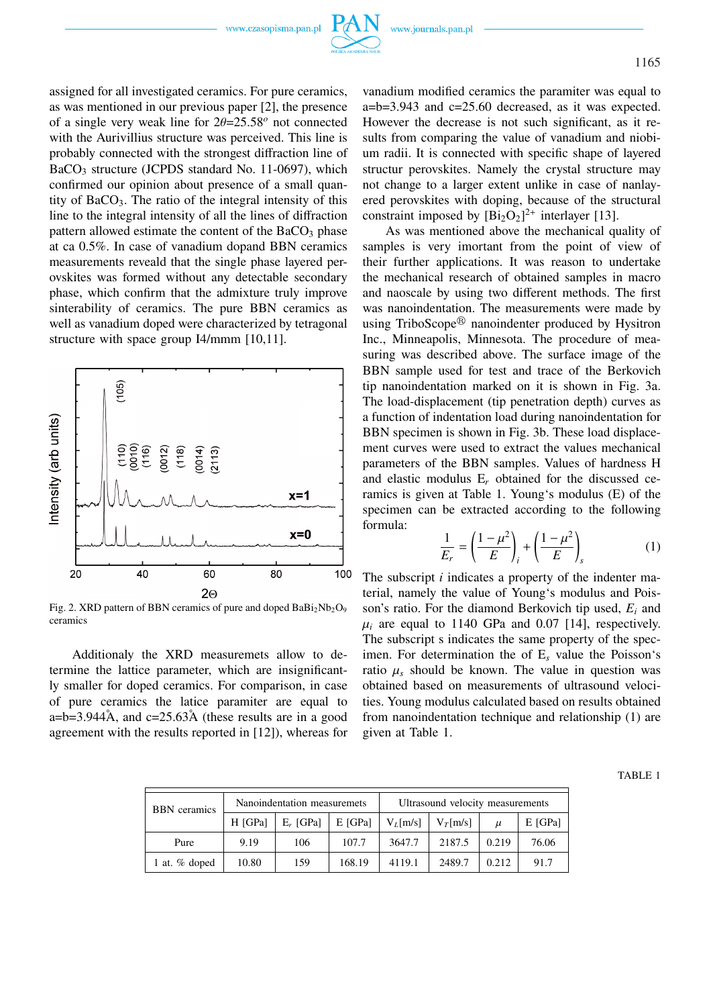assigned for all investigated ceramics. For pure ceramics, as was mentioned in our previous paper [2], the presence of a single very weak line for 2θ=25.58*<sup>o</sup>* not connected with the Aurivillius structure was perceived. This line is probably connected with the strongest diffraction line of  $BaCO<sub>3</sub>$  structure (JCPDS standard No. 11-0697), which confirmed our opinion about presence of a small quantity of  $BaCO<sub>3</sub>$ . The ratio of the integral intensity of this line to the integral intensity of all the lines of diffraction pattern allowed estimate the content of the  $BaCO<sub>3</sub>$  phase at ca 0.5%. In case of vanadium dopand BBN ceramics measurements reveald that the single phase layered perovskites was formed without any detectable secondary phase, which confirm that the admixture truly improve sinterability of ceramics. The pure BBN ceramics as well as vanadium doped were characterized by tetragonal structure with space group I4/mmm [10,11].



Fig. 2. XRD pattern of BBN ceramics of pure and doped  $BaBi<sub>2</sub>Nb<sub>2</sub>O<sub>9</sub>$ ceramics

Additionaly the XRD measuremets allow to determine the lattice parameter, which are insignificantly smaller for doped ceramics. For comparison, in case of pure ceramics the latice paramiter are equal to a=b=3.944 $\AA$ , and c=25.63 $\AA$  (these results are in a good agreement with the results reported in [12]), whereas for vanadium modified ceramics the paramiter was equal to a=b=3.943 and c=25.60 decreased, as it was expected. However the decrease is not such significant, as it results from comparing the value of vanadium and niobium radii. It is connected with specific shape of layered structur perovskites. Namely the crystal structure may not change to a larger extent unlike in case of nanlayered perovskites with doping, because of the structural constraint imposed by  $[\text{Bi}_2\text{O}_2]^{2+}$  interlayer [13].

As was mentioned above the mechanical quality of samples is very imortant from the point of view of their further applications. It was reason to undertake the mechanical research of obtained samples in macro and naoscale by using two different methods. The first was nanoindentation. The measurements were made by using TriboScope<sup>®</sup> nanoindenter produced by Hysitron Inc., Minneapolis, Minnesota. The procedure of measuring was described above. The surface image of the BBN sample used for test and trace of the Berkovich tip nanoindentation marked on it is shown in Fig. 3a. The load-displacement (tip penetration depth) curves as a function of indentation load during nanoindentation for BBN specimen is shown in Fig. 3b. These load displacement curves were used to extract the values mechanical parameters of the BBN samples. Values of hardness H and elastic modulus E*<sup>r</sup>* obtained for the discussed ceramics is given at Table 1. Young's modulus (E) of the specimen can be extracted according to the following formula:  $\overline{1}$ !  $\overline{1}$ !

$$
\frac{1}{E_r} = \left(\frac{1-\mu^2}{E}\right)_i + \left(\frac{1-\mu^2}{E}\right)_s\tag{1}
$$

The subscript *i* indicates a property of the indenter material, namely the value of Young's modulus and Poisson's ratio. For the diamond Berkovich tip used, *E<sup>i</sup>* and  $\mu_i$  are equal to 1140 GPa and 0.07 [14], respectively. The subscript s indicates the same property of the specimen. For determination the of E*<sup>s</sup>* value the Poisson's ratio  $\mu_s$  should be known. The value in question was obtained based on measurements of ultrasound velocities. Young modulus calculated based on results obtained from nanoindentation technique and relationship (1) are given at Table 1.

TABLE 1

|  | <b>BBN</b> ceramics | Nanoindentation measuremets |             |         | Ultrasound velocity measurements |                  |       |           |
|--|---------------------|-----------------------------|-------------|---------|----------------------------------|------------------|-------|-----------|
|  |                     | H [GPa]                     | $E_r$ [GPa] | E [GPa] | $V_I$ [m/s]                      | $V_{\tau}$ [m/s] | $\mu$ | $E$ [GPa] |
|  | Pure                | 9.19                        | 106         | 107.7   | 3647.7                           | 2187.5           | 0.219 | 76.06     |
|  | at. % doped         | 10.80                       | 159         | 168.19  | 4119.1                           | 2489.7           | 0.212 | 91.7      |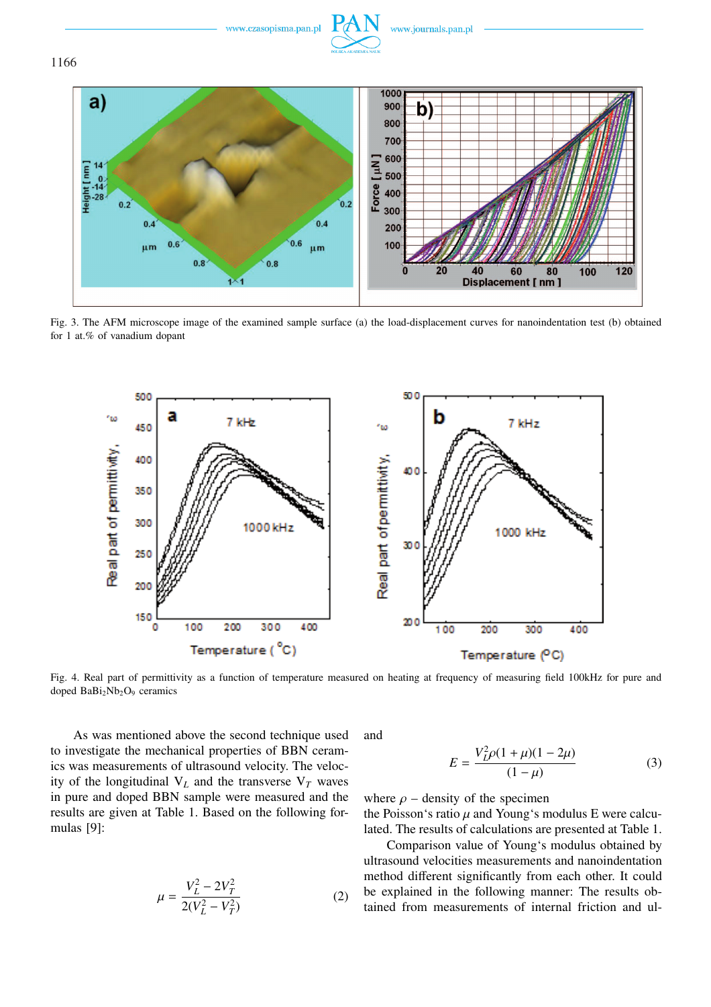

Fig. 3. The AFM microscope image of the examined sample surface (a) the load-displacement curves for nanoindentation test (b) obtained for 1 at.% of vanadium dopant



Fig. 4. Real part of permittivity as a function of temperature measured on heating at frequency of measuring field 100kHz for pure and doped BaBi<sub>2</sub>Nb<sub>2</sub>O<sub>9</sub> ceramics

As was mentioned above the second technique used to investigate the mechanical properties of BBN ceramics was measurements of ultrasound velocity. The velocity of the longitudinal  $V_L$  and the transverse  $V_T$  waves in pure and doped BBN sample were measured and the results are given at Table 1. Based on the following formulas [9]:

$$
\mu = \frac{V_L^2 - 2V_T^2}{2(V_L^2 - V_T^2)}
$$
(2)

and

$$
E = \frac{V_L^2 \rho (1 + \mu)(1 - 2\mu)}{(1 - \mu)}\tag{3}
$$

where  $\rho$  – density of the specimen

the Poisson's ratio  $\mu$  and Young's modulus E were calculated. The results of calculations are presented at Table 1.

Comparison value of Young's modulus obtained by ultrasound velocities measurements and nanoindentation method different significantly from each other. It could be explained in the following manner: The results obtained from measurements of internal friction and ul-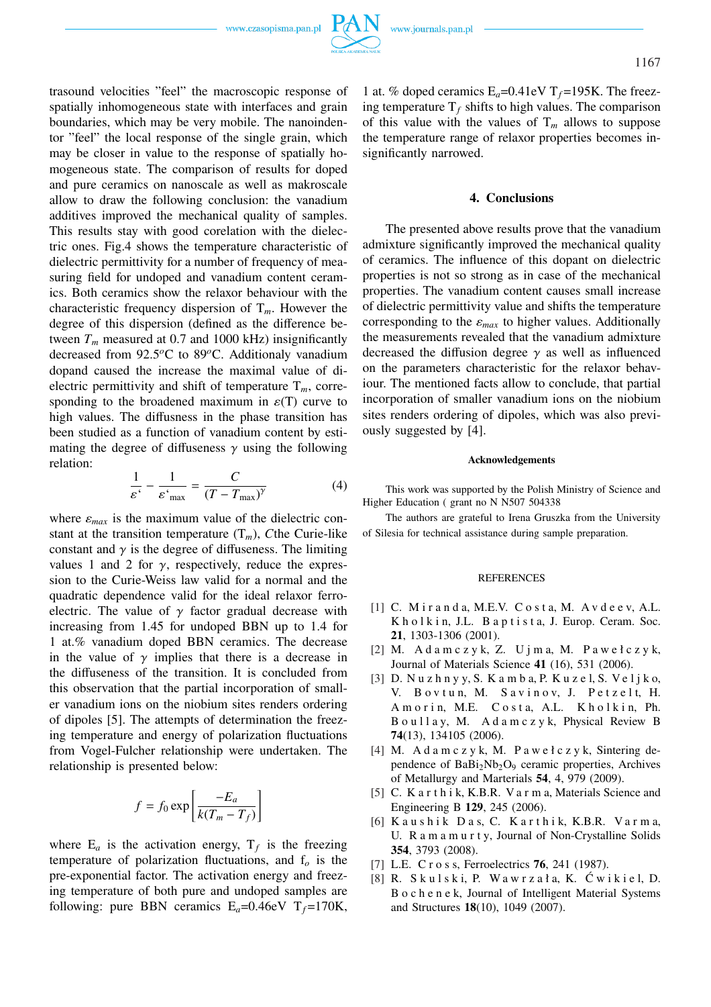trasound velocities "feel" the macroscopic response of spatially inhomogeneous state with interfaces and grain boundaries, which may be very mobile. The nanoindentor "feel" the local response of the single grain, which may be closer in value to the response of spatially homogeneous state. The comparison of results for doped and pure ceramics on nanoscale as well as makroscale allow to draw the following conclusion: the vanadium additives improved the mechanical quality of samples. This results stay with good corelation with the dielectric ones. Fig.4 shows the temperature characteristic of dielectric permittivity for a number of frequency of measuring field for undoped and vanadium content ceramics. Both ceramics show the relaxor behaviour with the characteristic frequency dispersion of T*m*. However the degree of this dispersion (defined as the difference between  $T_m$  measured at 0.7 and 1000 kHz) insignificantly decreased from 92.5*<sup>o</sup>*C to 89*<sup>o</sup>*C. Additionaly vanadium dopand caused the increase the maximal value of dielectric permittivity and shift of temperature  $T_m$ , corresponding to the broadened maximum in  $\varepsilon(T)$  curve to high values. The diffusness in the phase transition has been studied as a function of vanadium content by estimating the degree of diffuseness  $\gamma$  using the following relation:

$$
\frac{1}{\varepsilon^*} - \frac{1}{\varepsilon^*_{\text{max}}} = \frac{C}{(T - T_{\text{max}})^\gamma}
$$
(4)

where  $\varepsilon_{max}$  is the maximum value of the dielectric constant at the transition temperature  $(T_m)$ , *C*the Curie-like constant and  $\gamma$  is the degree of diffuseness. The limiting values 1 and 2 for  $\gamma$ , respectively, reduce the expression to the Curie-Weiss law valid for a normal and the quadratic dependence valid for the ideal relaxor ferroelectric. The value of  $\gamma$  factor gradual decrease with increasing from 1.45 for undoped BBN up to 1.4 for 1 at.% vanadium doped BBN ceramics. The decrease in the value of  $\gamma$  implies that there is a decrease in the diffuseness of the transition. It is concluded from this observation that the partial incorporation of smaller vanadium ions on the niobium sites renders ordering of dipoles [5]. The attempts of determination the freezing temperature and energy of polarization fluctuations from Vogel-Fulcher relationship were undertaken. The relationship is presented below:

$$
f = f_0 \exp\left[\frac{-E_a}{k(T_m - T_f)}\right]
$$

where  $E_a$  is the activation energy,  $T_f$  is the freezing temperature of polarization fluctuations, and f*<sup>o</sup>* is the pre-exponential factor. The activation energy and freezing temperature of both pure and undoped samples are following: pure BBN ceramics  $E_a=0.46$ eV  $T_f=170$ K, 1 at. % doped ceramics  $E_a = 0.41$ eV T<sub>f</sub>=195K. The freezing temperature  $T_f$  shifts to high values. The comparison of this value with the values of  $T_m$  allows to suppose the temperature range of relaxor properties becomes insignificantly narrowed.

## **4. Conclusions**

The presented above results prove that the vanadium admixture significantly improved the mechanical quality of ceramics. The influence of this dopant on dielectric properties is not so strong as in case of the mechanical properties. The vanadium content causes small increase of dielectric permittivity value and shifts the temperature corresponding to the  $\varepsilon_{max}$  to higher values. Additionally the measurements revealed that the vanadium admixture decreased the diffusion degree  $\gamma$  as well as influenced on the parameters characteristic for the relaxor behaviour. The mentioned facts allow to conclude, that partial incorporation of smaller vanadium ions on the niobium sites renders ordering of dipoles, which was also previously suggested by [4].

#### **Acknowledgements**

This work was supported by the Polish Ministry of Science and Higher Education ( grant no N N507 504338

The authors are grateful to Irena Gruszka from the University of Silesia for technical assistance during sample preparation.

#### REFERENCES

- [1] C. Miranda, M.E.V. Costa, M. Avdeev, A.L. K h o l k i n, J.L. B a p t i s t a, J. Europ. Ceram. Soc. **21**, 1303-1306 (2001).
- [2] M. A d a m c z y k, Z. U j m a, M. P a w e ł c z y k, Journal of Materials Science **41** (16), 531 (2006).
- [3] D. Nuzhnyy, S. Kamba, P. Kuzel, S. Veljko, V. Bovtun, M. Savinov, J. Petzelt, H. A m o r i n, M.E. C o st a, A.L. K h o l k i n, Ph. B o u l l a y, M. A d a m c z y k, Physical Review B **74**(13), 134105 (2006).
- [4] M. A d a m c z y k, M. P a w e ł c z y k, Sintering dependence of BaBi<sub>2</sub>Nb<sub>2</sub>O<sub>9</sub> ceramic properties, Archives of Metallurgy and Marterials **54**, 4, 979 (2009).
- [5] C. K a r t h i k, K.B.R. V a r m a, Materials Science and Engineering B **129**, 245 (2006).
- [6] Kaushik Das, C. Karthik, K.B.R. Varma, U. R a m a m u r t y, Journal of Non-Crystalline Solids **354**, 3793 (2008).
- [7] L.E. C r o s s, Ferroelectrics **76**, 241 (1987).
- $[8]$  R. Skulski, P. Wawrzała, K. Ćwikiel, D. B o c h e n e k, Journal of Intelligent Material Systems and Structures **18**(10), 1049 (2007).